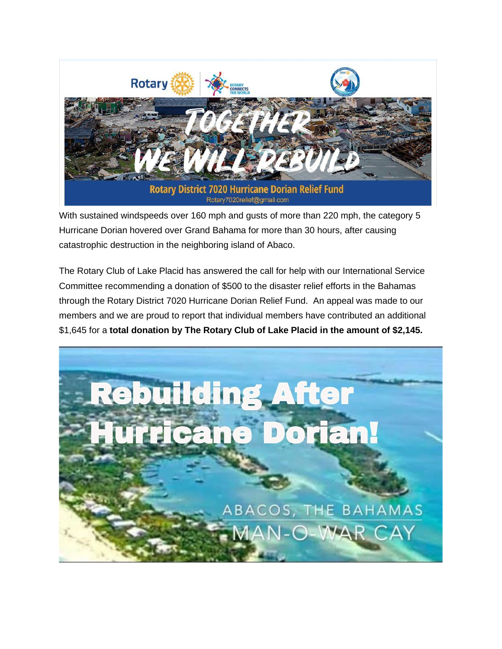

With sustained windspeeds over 160 mph and gusts of more than 220 mph, the category 5 Hurricane Dorian hovered over Grand Bahama for more than 30 hours, after causing catastrophic destruction in the neighboring island of Abaco.

The Rotary Club of Lake Placid has answered the call for help with our International Service Committee recommending a donation of \$500 to the disaster relief efforts in the Bahamas through the Rotary District 7020 Hurricane Dorian Relief Fund. An appeal was made to our members and we are proud to report that individual members have contributed an additional \$1,645 for a **total donation by The Rotary Club of Lake Placid in the amount of \$2,145.**

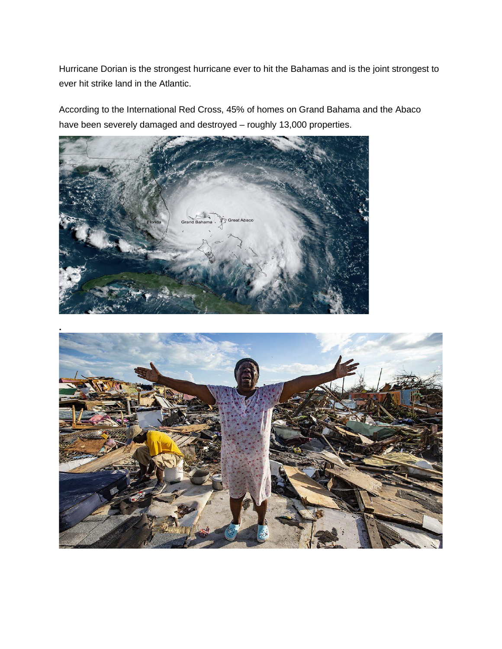Hurricane Dorian is the strongest hurricane ever to hit the Bahamas and is the joint strongest to ever hit strike land in the Atlantic.

According to the International Red Cross, 45% of homes on Grand Bahama and the Abaco have been severely damaged and destroyed – roughly 13,000 properties.